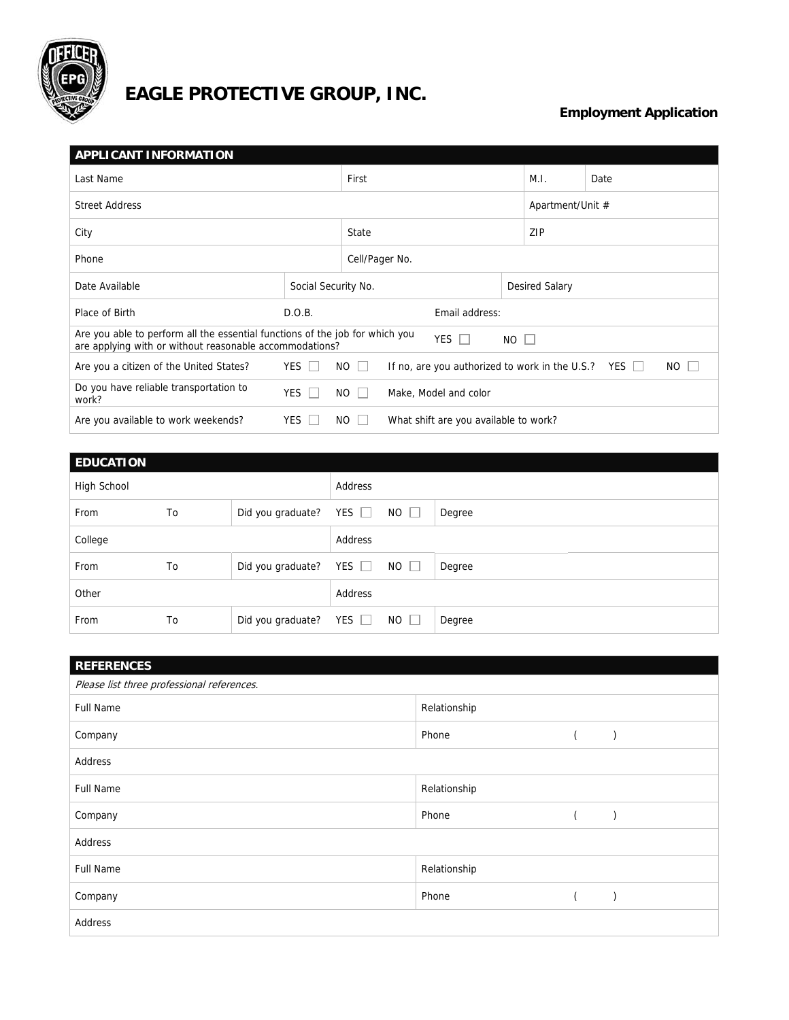

## **EAGLE PROTECTIVE GROUP, INC.**

## **Employment Application**

| <b>APPLICANT INFORMATION</b>                                                                                                                                         |              |                                                       |                |                  |                       |  |  |
|----------------------------------------------------------------------------------------------------------------------------------------------------------------------|--------------|-------------------------------------------------------|----------------|------------------|-----------------------|--|--|
| Last Name                                                                                                                                                            |              | First                                                 |                | M.I.             | Date                  |  |  |
| <b>Street Address</b>                                                                                                                                                |              |                                                       |                | Apartment/Unit # |                       |  |  |
| City                                                                                                                                                                 |              |                                                       |                | ZIP              |                       |  |  |
| Phone                                                                                                                                                                |              |                                                       | Cell/Pager No. |                  |                       |  |  |
| Date Available                                                                                                                                                       |              | Social Security No.                                   |                |                  | <b>Desired Salary</b> |  |  |
| Place of Birth                                                                                                                                                       | D.O.B.       | Email address:                                        |                |                  |                       |  |  |
| Are you able to perform all the essential functions of the job for which you<br>YES $\Box$<br>$NO$ $\Box$<br>are applying with or without reasonable accommodations? |              |                                                       |                |                  |                       |  |  |
| YES I<br>$NO$ $\Box$<br>NO  <br>If no, are you authorized to work in the U.S.?<br>Are you a citizen of the United States?<br>YES ∐                                   |              |                                                       |                |                  |                       |  |  |
| Do you have reliable transportation to<br>work?                                                                                                                      | $YES$ $\Box$ | NO.<br>Make, Model and color                          |                |                  |                       |  |  |
| Are you available to work weekends?                                                                                                                                  | YES          | $NO$ $ $ $ $<br>What shift are you available to work? |                |                  |                       |  |  |

| <b>EDUCATION</b> |    |                   |            |             |        |
|------------------|----|-------------------|------------|-------------|--------|
| High School      |    |                   | Address    |             |        |
| From             | To | Did you graduate? | YES $\Box$ | $NO$ $\Box$ | Degree |
| College          |    |                   | Address    |             |        |
| From             | To | Did you graduate? | YES $\Box$ | $NO$ $\Box$ | Degree |
| Other            |    |                   | Address    |             |        |
| From             | To | Did you graduate? | YES $\Box$ | $NO \Box$   | Degree |

| <b>REFERENCES</b>                          |              |  |               |  |  |  |
|--------------------------------------------|--------------|--|---------------|--|--|--|
| Please list three professional references. |              |  |               |  |  |  |
| <b>Full Name</b>                           | Relationship |  |               |  |  |  |
| Company                                    | Phone        |  | $\mathcal{E}$ |  |  |  |
| Address                                    |              |  |               |  |  |  |
| <b>Full Name</b>                           | Relationship |  |               |  |  |  |
| Company                                    | Phone        |  |               |  |  |  |
| Address                                    |              |  |               |  |  |  |
| <b>Full Name</b>                           | Relationship |  |               |  |  |  |
| Company                                    | Phone        |  |               |  |  |  |
| Address                                    |              |  |               |  |  |  |